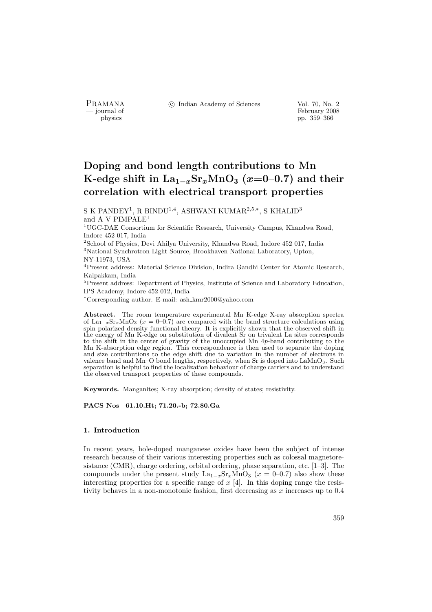PRAMANA °c Indian Academy of Sciences Vol. 70, No. 2

physics<br>
and the state of February 2008<br>
pp. 359–366<br>
pp. 359–366 physics pp. 359–366

# Doping and bond length contributions to Mn K-edge shift in  $\text{La}_{1-x}\text{Sr}_x\text{MnO}_3$  (x=0–0.7) and their correlation with electrical transport properties

S K PANDEY $^1$ , R BINDU $^{1,4}$ , ASHWANI KUMAR $^{2,5,*}$ , S KHALID $^3$ and A V PIMPALE<sup>1</sup>

<sup>1</sup>UGC-DAE Consortium for Scientific Research, University Campus, Khandwa Road, Indore 452 017, India

 $^{2}$ School of Physics, Devi Ahilya University, Khandwa Road, Indore $452\ 017,$  India <sup>3</sup>National Synchrotron Light Source, Brookhaven National Laboratory, Upton, NY-11973, USA

<sup>4</sup>Present address: Material Science Division, Indira Gandhi Center for Atomic Research, Kalpakkam, India

<sup>5</sup>Present address: Department of Physics, Institute of Science and Laboratory Education, IPS Academy, Indore 452 012, India

<sup>∗</sup>Corresponding author. E-mail: ash kmr2000@yahoo.com

Abstract. The room temperature experimental Mn K-edge X-ray absorption spectra of La<sub>1−x</sub>Sr<sub>x</sub>MnO<sub>3</sub> ( $x = 0-0.7$ ) are compared with the band structure calculations using spin polarized density functional theory. It is explicitly shown that the observed shift in the energy of Mn K-edge on substitution of divalent Sr on trivalent La sites corresponds to the shift in the center of gravity of the unoccupied Mn 4p-band contributing to the Mn K-absorption edge region. This correspondence is then used to separate the doping and size contributions to the edge shift due to variation in the number of electrons in valence band and Mn–O bond lengths, respectively, when Sr is doped into  $\text{LaMnO}_3$ . Such separation is helpful to find the localization behaviour of charge carriers and to understand the observed transport properties of these compounds.

Keywords. Manganites; X-ray absorption; density of states; resistivity.

PACS Nos 61.10.Ht; 71.20.-b; 72.80.Ga

#### 1. Introduction

In recent years, hole-doped manganese oxides have been the subject of intense research because of their various interesting properties such as colossal magnetoresistance (CMR), charge ordering, orbital ordering, phase separation, etc. [1–3]. The compounds under the present study  $La_{1-x}Sr_xMnO_3$  ( $x = 0-0.7$ ) also show these interesting properties for a specific range of  $x$  [4]. In this doping range the resistivity behaves in a non-monotonic fashion, first decreasing as x increases up to 0.4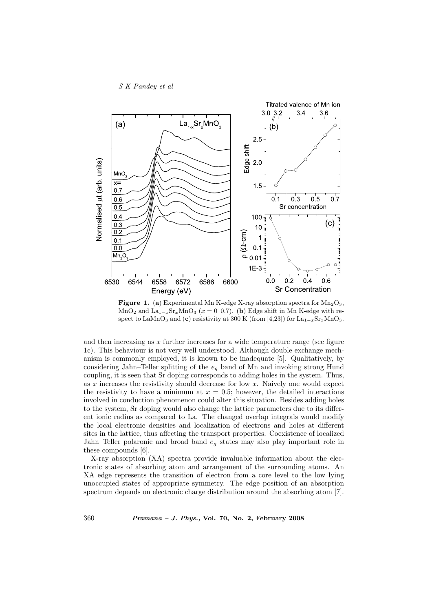

Figure 1. (a) Experimental Mn K-edge X-ray absorption spectra for  $Mn_2O_3$ , MnO<sub>2</sub> and La<sub>1−x</sub>Sr<sub>x</sub>MnO<sub>3</sub> (x = 0–0.7). (b) Edge shift in Mn K-edge with respect to LaMnO<sub>3</sub> and (c) resistivity at 300 K (from [4,23]) for La<sub>1-x</sub>Sr<sub>x</sub>MnO<sub>3</sub>.

and then increasing as  $x$  further increases for a wide temperature range (see figure 1c). This behaviour is not very well understood. Although double exchange mechanism is commonly employed, it is known to be inadequate [5]. Qualitatively, by considering Jahn–Teller splitting of the  $e<sub>g</sub>$  band of Mn and invoking strong Hund coupling, it is seen that Sr doping corresponds to adding holes in the system. Thus, as x increases the resistivity should decrease for low x. Naively one would expect the resistivity to have a minimum at  $x = 0.5$ ; however, the detailed interactions involved in conduction phenomenon could alter this situation. Besides adding holes to the system, Sr doping would also change the lattice parameters due to its different ionic radius as compared to La. The changed overlap integrals would modify the local electronic densities and localization of electrons and holes at different sites in the lattice, thus affecting the transport properties. Coexistence of localized Jahn–Teller polaronic and broad band  $e_q$  states may also play important role in these compounds [6].

X-ray absorption (XA) spectra provide invaluable information about the electronic states of absorbing atom and arrangement of the surrounding atoms. An XA edge represents the transition of electron from a core level to the low lying unoccupied states of appropriate symmetry. The edge position of an absorption spectrum depends on electronic charge distribution around the absorbing atom [7].

360 Pramana – J. Phys., Vol. 70, No. 2, February 2008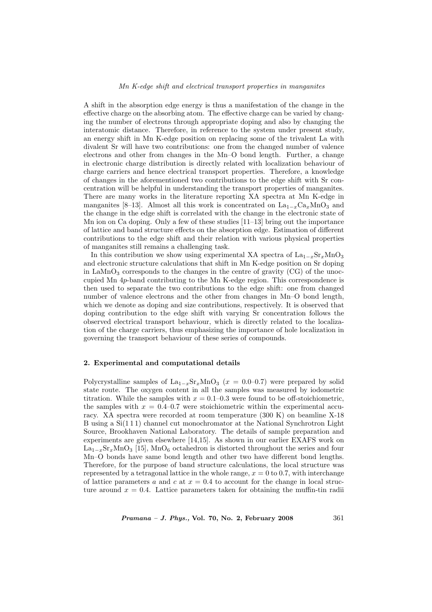#### Mn K-edge shift and electrical transport properties in manganites

A shift in the absorption edge energy is thus a manifestation of the change in the effective charge on the absorbing atom. The effective charge can be varied by changing the number of electrons through appropriate doping and also by changing the interatomic distance. Therefore, in reference to the system under present study, an energy shift in Mn K-edge position on replacing some of the trivalent La with divalent Sr will have two contributions: one from the changed number of valence electrons and other from changes in the Mn–O bond length. Further, a change in electronic charge distribution is directly related with localization behaviour of charge carriers and hence electrical transport properties. Therefore, a knowledge of changes in the aforementioned two contributions to the edge shift with Sr concentration will be helpful in understanding the transport properties of manganites. There are many works in the literature reporting XA spectra at Mn K-edge in manganites [8–13]. Almost all this work is concentrated on  $La_{1-x}Ca_xMnO_3$  and the change in the edge shift is correlated with the change in the electronic state of Mn ion on Ca doping. Only a few of these studies [11–13] bring out the importance of lattice and band structure effects on the absorption edge. Estimation of different contributions to the edge shift and their relation with various physical properties of manganites still remains a challenging task.

In this contribution we show using experimental XA spectra of  $La_{1-r}Sr_rMnO_3$ and electronic structure calculations that shift in Mn K-edge position on Sr doping in LaMn $O_3$  corresponds to the changes in the centre of gravity (CG) of the unoccupied Mn 4p-band contributing to the Mn K-edge region. This correspondence is then used to separate the two contributions to the edge shift: one from changed number of valence electrons and the other from changes in Mn–O bond length, which we denote as doping and size contributions, respectively. It is observed that doping contribution to the edge shift with varying Sr concentration follows the observed electrical transport behaviour, which is directly related to the localization of the charge carriers, thus emphasizing the importance of hole localization in governing the transport behaviour of these series of compounds.

#### 2. Experimental and computational details

Polycrystalline samples of  $\text{La}_{1-x}\text{Sr}_x\text{MnO}_3$  ( $x = 0.0-0.7$ ) were prepared by solid state route. The oxygen content in all the samples was measured by iodometric titration. While the samples with  $x = 0.1-0.3$  were found to be off-stoichiometric, the samples with  $x = 0.4-0.7$  were stoichiometric within the experimental accuracy. XA spectra were recorded at room temperature (300 K) on beamline X-18 B using a Si(1 1 1) channel cut monochromator at the National Synchrotron Light Source, Brookhaven National Laboratory. The details of sample preparation and experiments are given elsewhere [14,15]. As shown in our earlier EXAFS work on  $\text{La}_{1-x}\text{Sr}_x\text{MnO}_3$  [15], MnO<sub>6</sub> octahedron is distorted throughout the series and four Mn–O bonds have same bond length and other two have different bond lengths. Therefore, for the purpose of band structure calculations, the local structure was represented by a tetragonal lattice in the whole range,  $x = 0$  to 0.7, with interchange of lattice parameters a and c at  $x = 0.4$  to account for the change in local structure around  $x = 0.4$ . Lattice parameters taken for obtaining the muffin-tin radii

*Pramana – J. Phys.*, Vol. 70, No. 2, February 2008  $361$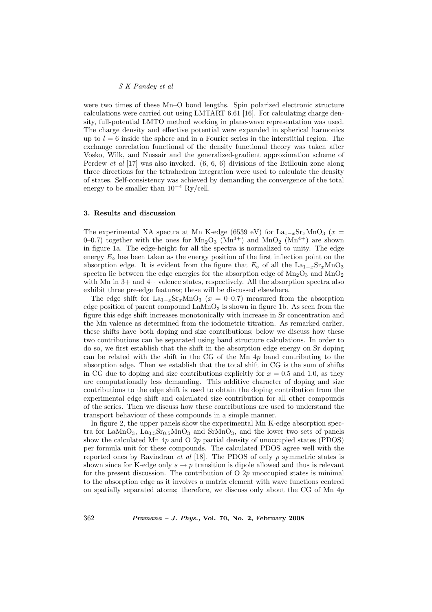were two times of these Mn–O bond lengths. Spin polarized electronic structure calculations were carried out using LMTART 6.61 [16]. For calculating charge density, full-potential LMTO method working in plane-wave representation was used. The charge density and effective potential were expanded in spherical harmonics up to  $l = 6$  inside the sphere and in a Fourier series in the interstitial region. The exchange correlation functional of the density functional theory was taken after Vosko, Wilk, and Nussair and the generalized-gradient approximation scheme of Perdew et al [17] was also invoked. (6, 6, 6) divisions of the Brillouin zone along three directions for the tetrahedron integration were used to calculate the density of states. Self-consistency was achieved by demanding the convergence of the total energy to be smaller than  $10^{-4}$  Ry/cell.

#### 3. Results and discussion

The experimental XA spectra at Mn K-edge (6539 eV) for  $La_{1-x}Sr_xMnO_3$  (x = 0–0.7) together with the ones for  $Mn_2O_3$  ( $Mn^{3+}$ ) and  $MnO_2$  ( $Mn^{4+}$ ) are shown in figure 1a. The edge-height for all the spectra is normalized to unity. The edge energy  $E<sub>o</sub>$  has been taken as the energy position of the first inflection point on the absorption edge. It is evident from the figure that  $E_0$  of all the  $La_{1-x}Sr_xMnO_3$ spectra lie between the edge energies for the absorption edge of  $Mn<sub>2</sub>O<sub>3</sub>$  and  $MnO<sub>2</sub>$ with Mn in  $3+$  and  $4+$  valence states, respectively. All the absorption spectra also exhibit three pre-edge features; these will be discussed elsewhere.

The edge shift for La<sub>1−x</sub>Sr<sub>x</sub>MnO<sub>3</sub> ( $x = 0$ -0.7) measured from the absorption edge position of parent compound  $\text{LaMnO}_3$  is shown in figure 1b. As seen from the figure this edge shift increases monotonically with increase in Sr concentration and the Mn valence as determined from the iodometric titration. As remarked earlier, these shifts have both doping and size contributions; below we discuss how these two contributions can be separated using band structure calculations. In order to do so, we first establish that the shift in the absorption edge energy on Sr doping can be related with the shift in the CG of the Mn 4p band contributing to the absorption edge. Then we establish that the total shift in CG is the sum of shifts in CG due to doping and size contributions explicitly for  $x = 0.5$  and 1.0, as they are computationally less demanding. This additive character of doping and size contributions to the edge shift is used to obtain the doping contribution from the experimental edge shift and calculated size contribution for all other compounds of the series. Then we discuss how these contributions are used to understand the transport behaviour of these compounds in a simple manner.

In figure 2, the upper panels show the experimental Mn K-edge absorption spectra for LaMnO<sub>3</sub>, La<sub>0.5</sub>Sr<sub>0.5</sub>MnO<sub>3</sub> and SrMnO<sub>3</sub>, and the lower two sets of panels show the calculated Mn  $4p$  and O  $2p$  partial density of unoccupied states (PDOS) per formula unit for these compounds. The calculated PDOS agree well with the reported ones by Ravindran *et al* [18]. The PDOS of only  $p$  symmetric states is shown since for K-edge only  $s \to p$  transition is dipole allowed and thus is relevant for the present discussion. The contribution of  $O$  2p unoccupied states is minimal to the absorption edge as it involves a matrix element with wave functions centred on spatially separated atoms; therefore, we discuss only about the CG of Mn  $4p$ 

362 Pramana – J. Phys., Vol. 70, No. 2, February 2008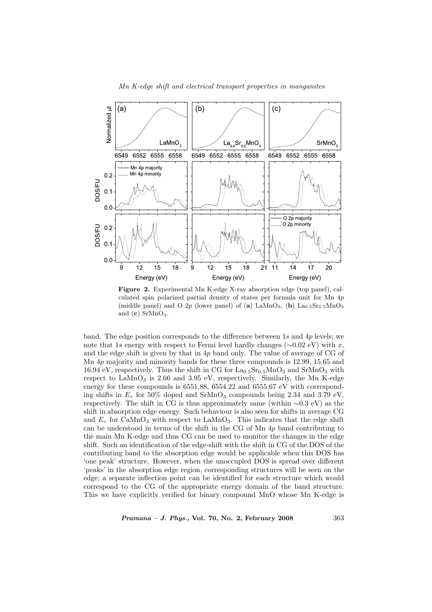

Figure 2. Experimental Mn K-edge X-ray absorption edge (top panel), calculated spin polarized partial density of states per formula unit for Mn 4p (middle panel) and O 2p (lower panel) of (a)  $\text{LaMnO}_3$ , (b)  $\text{La}_{0.5}\text{Sr}_{0.5}\text{MnO}_3$ and  $(c)$  SrMnO<sub>3</sub>.

band. The edge position corresponds to the difference between 1s and 4p levels; we note that 1s energy with respect to Fermi level hardly changes ( $\sim$ 0.02 eV) with x, and the edge shift is given by that in  $4p$  band only. The value of average of CG of Mn 4p majority and minority bands for these three compounds is 12.99, 15.65 and 16.94 eV, respectively. Thus the shift in CG for  $La<sub>0.5</sub>Sr<sub>0.5</sub>MnO<sub>3</sub>$  and  $SrMnO<sub>3</sub>$  with respect to  $\text{LaMnO}_3$  is 2.66 and 3.95 eV, respectively. Similarly, the Mn K-edge energy for these compounds is 6551.88, 6554.22 and 6555.67 eV with corresponding shifts in  $E_0$  for 50% doped and SrMnO<sub>3</sub> compounds being 2.34 and 3.79 eV, respectively. The shift in CG is thus approximately same (within ∼0.3 eV) as the shift in absorption edge energy. Such behaviour is also seen for shifts in average CG and  $E_{\rm o}$  for CaMnO<sub>3</sub> with respect to LaMnO<sub>3</sub>. This indicates that the edge shift can be understood in terms of the shift in the CG of Mn 4p band contributing to the main Mn K-edge and thus CG can be used to monitor the changes in the edge shift. Such an identification of the edge-shift with the shift in CG of the DOS of the contributing band to the absorption edge would be applicable when this DOS has 'one peak' structure. However, when the unoccupied DOS is spread over different 'peaks' in the absorption edge region, corresponding structures will be seen on the edge; a separate inflection point can be identified for each structure which would correspond to the CG of the appropriate energy domain of the band structure. This we have explicitly verified for binary compound MnO whose Mn K-edge is

*Pramana – J. Phys.*, Vol. 70, No. 2, February 2008  $363$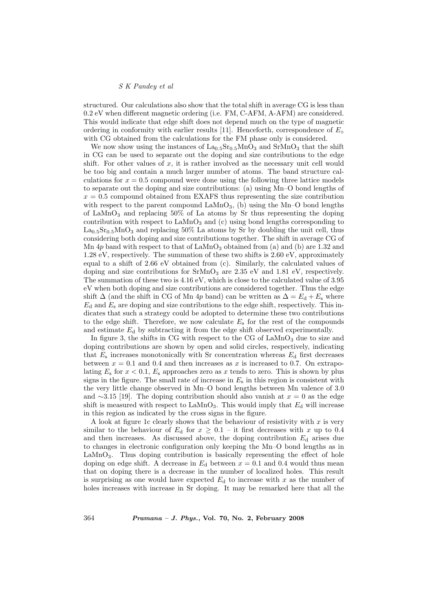structured. Our calculations also show that the total shift in average CG is less than 0.2 eV when different magnetic ordering (i.e. FM, C-AFM, A-AFM) are considered. This would indicate that edge shift does not depend much on the type of magnetic ordering in conformity with earlier results [11]. Henceforth, correspondence of  $E_{\circ}$ with CG obtained from the calculations for the FM phase only is considered.

We now show using the instances of  $La<sub>0.5</sub>Sr<sub>0.5</sub>MnO<sub>3</sub>$  and  $SrMnO<sub>3</sub>$  that the shift in CG can be used to separate out the doping and size contributions to the edge shift. For other values of  $x$ , it is rather involved as the necessary unit cell would be too big and contain a much larger number of atoms. The band structure calculations for  $x = 0.5$  compound were done using the following three lattice models to separate out the doping and size contributions: (a) using Mn–O bond lengths of  $x = 0.5$  compound obtained from EXAFS thus representing the size contribution with respect to the parent compound  $\text{LaMnO}_3$ , (b) using the Mn–O bond lengths of LaMnO<sub>3</sub> and replacing  $50\%$  of La atoms by Sr thus representing the doping contribution with respect to  $\text{LaMnO}_3$  and (c) using bond lengths corresponding to  $\text{La}_{0.5}\text{Sr}_{0.5}\text{MnO}_3$  and replacing 50% La atoms by Sr by doubling the unit cell, thus considering both doping and size contributions together. The shift in average CG of Mn  $4p$  band with respect to that of LaMnO<sub>3</sub> obtained from (a) and (b) are 1.32 and 1.28 eV, respectively. The summation of these two shifts is 2.60 eV, approximately equal to a shift of 2.66 eV obtained from (c). Similarly, the calculated values of doping and size contributions for  $SrMnO_3$  are 2.35 eV and 1.81 eV, respectively. The summation of these two is 4.16 eV, which is close to the calculated value of 3.95 eV when both doping and size contributions are considered together. Thus the edge shift  $\Delta$  (and the shift in CG of Mn 4p band) can be written as  $\Delta = E_d + E_s$  where  $E_d$  and  $E_s$  are doping and size contributions to the edge shift, respectively. This indicates that such a strategy could be adopted to determine these two contributions to the edge shift. Therefore, we now calculate  $E<sub>s</sub>$  for the rest of the compounds and estimate  $E_d$  by subtracting it from the edge shift observed experimentally.

In figure 3, the shifts in CG with respect to the CG of  $\text{LaMnO}_3$  due to size and doping contributions are shown by open and solid circles, respectively, indicating that  $E_s$  increases monotonically with Sr concentration whereas  $E_d$  first decreases between  $x = 0.1$  and 0.4 and then increases as x is increased to 0.7. On extrapolating  $E_s$  for  $x < 0.1$ ,  $E_s$  approaches zero as x tends to zero. This is shown by plus signs in the figure. The small rate of increase in  $E<sub>s</sub>$  in this region is consistent with the very little change observed in Mn–O bond lengths between Mn valence of 3.0 and  $\sim$ 3.15 [19]. The doping contribution should also vanish at  $x = 0$  as the edge shift is measured with respect to  $\text{LaMnO}_3$ . This would imply that  $E_d$  will increase in this region as indicated by the cross signs in the figure.

A look at figure 1c clearly shows that the behaviour of resistivity with  $x$  is very similar to the behaviour of  $E_d$  for  $x \geq 0.1$  – it first decreases with x up to 0.4 and then increases. As discussed above, the doping contribution  $E<sub>d</sub>$  arises due to changes in electronic configuration only keeping the Mn–O bond lengths as in  $\text{LaMnO}_3$ . Thus doping contribution is basically representing the effect of hole doping on edge shift. A decrease in  $E_d$  between  $x = 0.1$  and 0.4 would thus mean that on doping there is a decrease in the number of localized holes. This result is surprising as one would have expected  $E<sub>d</sub>$  to increase with x as the number of holes increases with increase in Sr doping. It may be remarked here that all the

364 Pramana – J. Phys., Vol. 70, No. 2, February 2008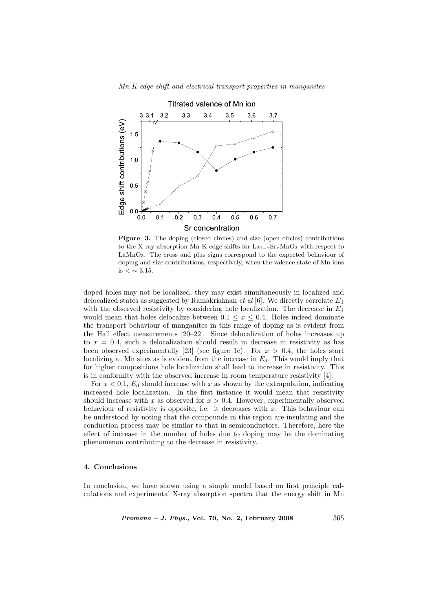

Figure 3. The doping (closed circles) and size (open circles) contributions to the X-ray absorption Mn K-edge shifts for  $La_{1-x}Sr_xMnO_3$  with respect to LaMnO<sub>3</sub>. The cross and plus signs correspond to the expected behaviour of doping and size contributions, respectively, when the valence state of Mn ions is  $< \sim 3.15$ .

doped holes may not be localized; they may exist simultaneously in localized and delocalized states as suggested by Ramakrishnan *et al* [6]. We directly correlate  $E<sub>d</sub>$ with the observed resistivity by considering hole localization. The decrease in  $E<sub>d</sub>$ would mean that holes delocalize between  $0.1 \leq x \leq 0.4$ . Holes indeed dominate the transport behaviour of manganites in this range of doping as is evident from the Hall effect measurements [20–22]. Since delocalization of holes increases up to  $x = 0.4$ , such a delocalization should result in decrease in resistivity as has been observed experimentally [23] (see figure 1c). For  $x > 0.4$ , the holes start localizing at Mn sites as is evident from the increase in  $E_d$ . This would imply that for higher compositions hole localization shall lead to increase in resistivity. This is in conformity with the observed increase in room temperature resistivity [4].

For  $x < 0.1$ ,  $E_d$  should increase with x as shown by the extrapolation, indicating increased hole localization. In the first instance it would mean that resistivity should increase with x as observed for  $x > 0.4$ . However, experimentally observed behaviour of resistivity is opposite, i.e. it decreases with  $x$ . This behaviour can be understood by noting that the compounds in this region are insulating and the conduction process may be similar to that in semiconductors. Therefore, here the effect of increase in the number of holes due to doping may be the dominating phenomenon contributing to the decrease in resistivity.

#### 4. Conclusions

In conclusion, we have shown using a simple model based on first principle calculations and experimental X-ray absorption spectra that the energy shift in Mn

 $Pramana - J. Phys., Vol. 70, No. 2, February 2008$  365